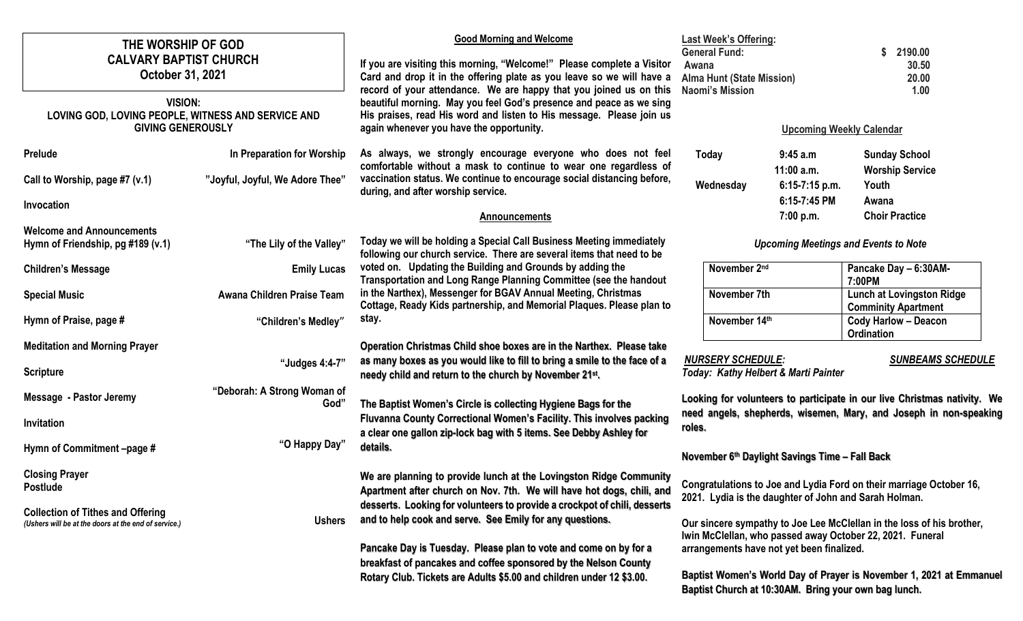| THE WORSHIP OF GOD<br><b>CALVARY BAPTIST CHURCH</b><br>October 31, 2021<br><b>VISION:</b><br>LOVING GOD, LOVING PEOPLE, WITNESS AND SERVICE AND<br><b>GIVING GENEROUSLY</b> |                                     | <b>Good Morning and Welcome</b><br>If you are visiting this morning, "Welcome!" Please complete a Visitor<br>Card and drop it in the offering plate as you leave so we will have a<br>record of your attendance. We are happy that you joined us on this<br>beautiful morning. May you feel God's presence and peace as we sing<br>His praises, read His word and listen to His message. Please join us<br>again whenever you have the opportunity. | <b>Last Week's Offering:</b><br><b>General Fund:</b><br>Awana<br><b>Alma Hunt (State Mission)</b><br><b>Naomi's Mission</b>                                                                                                                                                                                    |                                      | 2190.00<br>S<br>30.50<br>20.00<br>1.00                  |  |
|-----------------------------------------------------------------------------------------------------------------------------------------------------------------------------|-------------------------------------|-----------------------------------------------------------------------------------------------------------------------------------------------------------------------------------------------------------------------------------------------------------------------------------------------------------------------------------------------------------------------------------------------------------------------------------------------------|----------------------------------------------------------------------------------------------------------------------------------------------------------------------------------------------------------------------------------------------------------------------------------------------------------------|--------------------------------------|---------------------------------------------------------|--|
|                                                                                                                                                                             |                                     |                                                                                                                                                                                                                                                                                                                                                                                                                                                     | <b>Upcoming Weekly Calendar</b>                                                                                                                                                                                                                                                                                |                                      |                                                         |  |
| Prelude                                                                                                                                                                     | In Preparation for Worship          | As always, we strongly encourage everyone who does not feel<br>comfortable without a mask to continue to wear one regardless of<br>vaccination status. We continue to encourage social distancing before,<br>during, and after worship service.                                                                                                                                                                                                     | Today                                                                                                                                                                                                                                                                                                          | 9:45a.m<br>$11:00$ a.m.              | <b>Sunday School</b><br><b>Worship Service</b>          |  |
| Call to Worship, page #7 (v.1)                                                                                                                                              | "Joyful, Joyful, We Adore Thee"     |                                                                                                                                                                                                                                                                                                                                                                                                                                                     | Wednesday                                                                                                                                                                                                                                                                                                      | 6:15-7:15 p.m.                       | Youth                                                   |  |
| Invocation                                                                                                                                                                  |                                     | <b>Announcements</b>                                                                                                                                                                                                                                                                                                                                                                                                                                |                                                                                                                                                                                                                                                                                                                | 6:15-7:45 PM<br>7:00 p.m.            | Awana<br><b>Choir Practice</b>                          |  |
| <b>Welcome and Announcements</b><br>Hymn of Friendship, pg #189 (v.1)                                                                                                       | "The Lily of the Valley"            | Today we will be holding a Special Call Business Meeting immediately<br>following our church service. There are several items that need to be                                                                                                                                                                                                                                                                                                       | <b>Upcoming Meetings and Events to Note</b>                                                                                                                                                                                                                                                                    |                                      |                                                         |  |
| <b>Children's Message</b>                                                                                                                                                   | <b>Emily Lucas</b>                  | voted on. Updating the Building and Grounds by adding the<br>Transportation and Long Range Planning Committee (see the handout<br>in the Narthex), Messenger for BGAV Annual Meeting, Christmas<br>Cottage, Ready Kids partnership, and Memorial Plaques. Please plan to<br>stay.                                                                                                                                                                   | November 2nd                                                                                                                                                                                                                                                                                                   |                                      | Pancake Day - 6:30AM-<br>7:00PM                         |  |
| <b>Special Music</b>                                                                                                                                                        | Awana Children Praise Team          |                                                                                                                                                                                                                                                                                                                                                                                                                                                     | November 7th                                                                                                                                                                                                                                                                                                   |                                      | Lunch at Lovingston Ridge<br><b>Comminity Apartment</b> |  |
| Hymn of Praise, page #                                                                                                                                                      | "Children's Medley"                 |                                                                                                                                                                                                                                                                                                                                                                                                                                                     | November 14th                                                                                                                                                                                                                                                                                                  |                                      | <b>Cody Harlow - Deacon</b><br><b>Ordination</b>        |  |
| <b>Meditation and Morning Prayer</b><br><b>Scripture</b>                                                                                                                    | "Judges 4:4-7"                      | Operation Christmas Child shoe boxes are in the Narthex. Please take<br>as many boxes as you would like to fill to bring a smile to the face of a<br>needy child and return to the church by November 21 <sup>st</sup> .                                                                                                                                                                                                                            | <b>NURSERY SCHEDULE:</b>                                                                                                                                                                                                                                                                                       | Today: Kathy Helbert & Marti Painter | <b>SUNBEAMS SCHEDULE</b>                                |  |
| <b>Message - Pastor Jeremy</b><br>Invitation                                                                                                                                | "Deborah: A Strong Woman of<br>God" | The Baptist Women's Circle is collecting Hygiene Bags for the<br>Fluvanna County Correctional Women's Facility. This involves packing<br>a clear one gallon zip-lock bag with 5 items. See Debby Ashley for<br>details.                                                                                                                                                                                                                             | Looking for volunteers to participate in our live Christmas nativity. We<br>need angels, shepherds, wisemen, Mary, and Joseph in non-speaking                                                                                                                                                                  |                                      |                                                         |  |
| Hymn of Commitment -page #                                                                                                                                                  | "O Happy Day"                       |                                                                                                                                                                                                                                                                                                                                                                                                                                                     | roles.<br>November 6th Daylight Savings Time - Fall Back                                                                                                                                                                                                                                                       |                                      |                                                         |  |
| <b>Closing Prayer</b><br><b>Postlude</b>                                                                                                                                    |                                     | We are planning to provide lunch at the Lovingston Ridge Community<br>Apartment after church on Nov. 7th. We will have hot dogs, chili, and<br>desserts. Looking for volunteers to provide a crockpot of chili, desserts                                                                                                                                                                                                                            | Congratulations to Joe and Lydia Ford on their marriage October 16,<br>2021. Lydia is the daughter of John and Sarah Holman.                                                                                                                                                                                   |                                      |                                                         |  |
| <b>Collection of Tithes and Offering</b><br>(Ushers will be at the doors at the end of service.)                                                                            | <b>Ushers</b>                       | and to help cook and serve. See Emily for any questions.                                                                                                                                                                                                                                                                                                                                                                                            | Our sincere sympathy to Joe Lee McClellan in the loss of his brother,<br>Iwin McClellan, who passed away October 22, 2021. Funeral<br>arrangements have not yet been finalized.<br>Baptist Women's World Day of Prayer is November 1, 2021 at Emmanuel<br>Baptist Church at 10:30AM. Bring your own bag lunch. |                                      |                                                         |  |
|                                                                                                                                                                             |                                     | Pancake Day is Tuesday. Please plan to vote and come on by for a<br>breakfast of pancakes and coffee sponsored by the Nelson County<br>Rotary Club. Tickets are Adults \$5.00 and children under 12 \$3.00.                                                                                                                                                                                                                                         |                                                                                                                                                                                                                                                                                                                |                                      |                                                         |  |